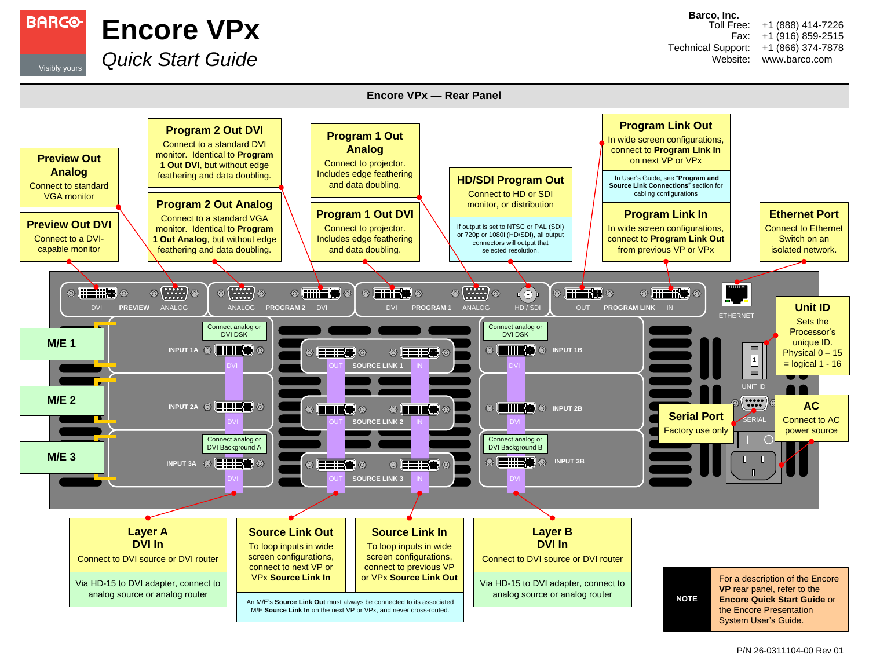

**Encore VPx** Visibly yours *Quick Start Guide*

**Barco, Inc.**

Toll Free: Fax: Technical Support: Website: +1 (888) 414-7226 +1 (916) 859-2515 +1 (866) 374-7878 www.barco.com